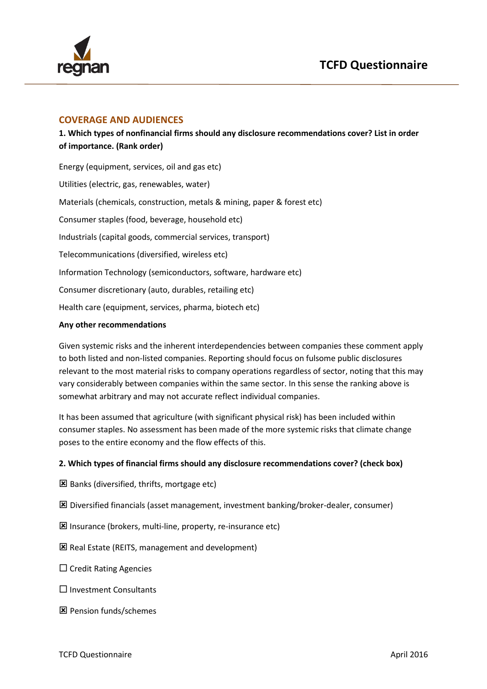

### **COVERAGE AND AUDIENCES**

**1. Which types of nonfinancial firms should any disclosure recommendations cover? List in order of importance. (Rank order)**

Energy (equipment, services, oil and gas etc) Utilities (electric, gas, renewables, water) Materials (chemicals, construction, metals & mining, paper & forest etc) Consumer staples (food, beverage, household etc) Industrials (capital goods, commercial services, transport) Telecommunications (diversified, wireless etc) Information Technology (semiconductors, software, hardware etc) Consumer discretionary (auto, durables, retailing etc) Health care (equipment, services, pharma, biotech etc)

#### **Any other recommendations**

Given systemic risks and the inherent interdependencies between companies these comment apply to both listed and non-listed companies. Reporting should focus on fulsome public disclosures relevant to the most material risks to company operations regardless of sector, noting that this may vary considerably between companies within the same sector. In this sense the ranking above is somewhat arbitrary and may not accurate reflect individual companies.

It has been assumed that agriculture (with significant physical risk) has been included within consumer staples. No assessment has been made of the more systemic risks that climate change poses to the entire economy and the flow effects of this.

### **2. Which types of financial firms should any disclosure recommendations cover? (check box)**

- Banks (diversified, thrifts, mortgage etc)
- Diversified financials (asset management, investment banking/broker-dealer, consumer)
- Insurance (brokers, multi-line, property, re-insurance etc)
- Real Estate (REITS, management and development)
- $\Box$  Credit Rating Agencies
- $\square$  Investment Consultants
- Pension funds/schemes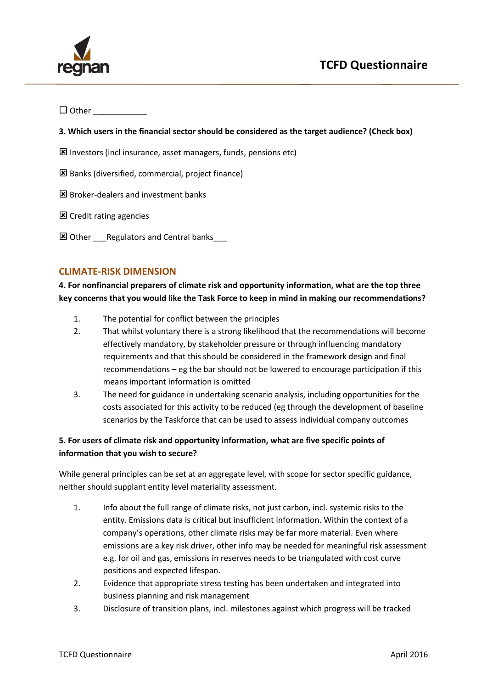

 $\Box$  Other

#### **3. Which users in the financial sector should be considered as the target audience? (Check box)**

- Investors (incl insurance, asset managers, funds, pensions etc)
- Banks (diversified, commercial, project finance)
- $\boxtimes$  Broker-dealers and investment banks
- **区** Credit rating agencies
- **E** Other Regulators and Central banks

### **CLIMATE-RISK DIMENSION**

**4. For nonfinancial preparers of climate risk and opportunity information, what are the top three key concerns that you would like the Task Force to keep in mind in making our recommendations?** 

- 1. The potential for conflict between the principles
- 2. That whilst voluntary there is a strong likelihood that the recommendations will become effectively mandatory, by stakeholder pressure or through influencing mandatory requirements and that this should be considered in the framework design and final recommendations – eg the bar should not be lowered to encourage participation if this means important information is omitted
- 3. The need for guidance in undertaking scenario analysis, including opportunities for the costs associated for this activity to be reduced (eg through the development of baseline scenarios by the Taskforce that can be used to assess individual company outcomes

## **5. For users of climate risk and opportunity information, what are five specific points of information that you wish to secure?**

While general principles can be set at an aggregate level, with scope for sector specific guidance, neither should supplant entity level materiality assessment.

- 1. Info about the full range of climate risks, not just carbon, incl. systemic risks to the entity. Emissions data is critical but insufficient information. Within the context of a company's operations, other climate risks may be far more material. Even where emissions are a key risk driver, other info may be needed for meaningful risk assessment e.g. for oil and gas, emissions in reserves needs to be triangulated with cost curve positions and expected lifespan.
- 2. Evidence that appropriate stress testing has been undertaken and integrated into business planning and risk management
- 3. Disclosure of transition plans, incl. milestones against which progress will be tracked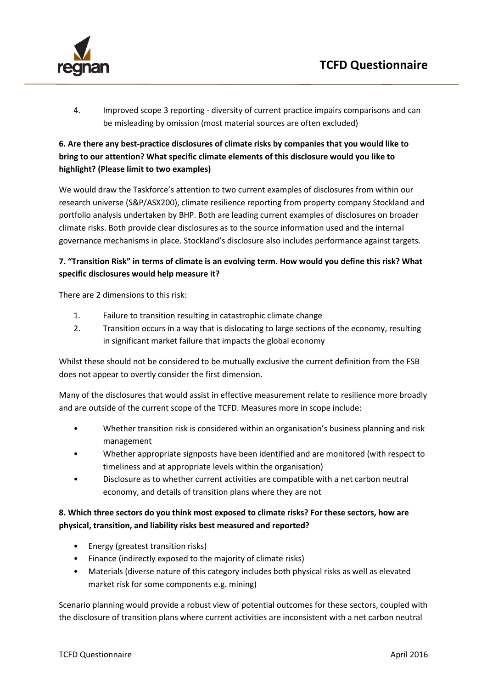

4. Improved scope 3 reporting - diversity of current practice impairs comparisons and can be misleading by omission (most material sources are often excluded)

# **6. Are there any best-practice disclosures of climate risks by companies that you would like to bring to our attention? What specific climate elements of this disclosure would you like to highlight? (Please limit to two examples)**

We would draw the Taskforce's attention to two current examples of disclosures from within our research universe (S&P/ASX200), climate resilience reporting from property company Stockland and portfolio analysis undertaken by BHP. Both are leading current examples of disclosures on broader climate risks. Both provide clear disclosures as to the source information used and the internal governance mechanisms in place. Stockland's disclosure also includes performance against targets.

### **7. "Transition Risk" in terms of climate is an evolving term. How would you define this risk? What specific disclosures would help measure it?**

There are 2 dimensions to this risk:

- 1. Failure to transition resulting in catastrophic climate change
- 2. Transition occurs in a way that is dislocating to large sections of the economy, resulting in significant market failure that impacts the global economy

Whilst these should not be considered to be mutually exclusive the current definition from the FSB does not appear to overtly consider the first dimension.

Many of the disclosures that would assist in effective measurement relate to resilience more broadly and are outside of the current scope of the TCFD. Measures more in scope include:

- Whether transition risk is considered within an organisation's business planning and risk management
- Whether appropriate signposts have been identified and are monitored (with respect to timeliness and at appropriate levels within the organisation)
- Disclosure as to whether current activities are compatible with a net carbon neutral economy, and details of transition plans where they are not

### **8. Which three sectors do you think most exposed to climate risks? For these sectors, how are physical, transition, and liability risks best measured and reported?**

- Energy (greatest transition risks)
- Finance (indirectly exposed to the majority of climate risks)
- Materials (diverse nature of this category includes both physical risks as well as elevated market risk for some components e.g. mining)

Scenario planning would provide a robust view of potential outcomes for these sectors, coupled with the disclosure of transition plans where current activities are inconsistent with a net carbon neutral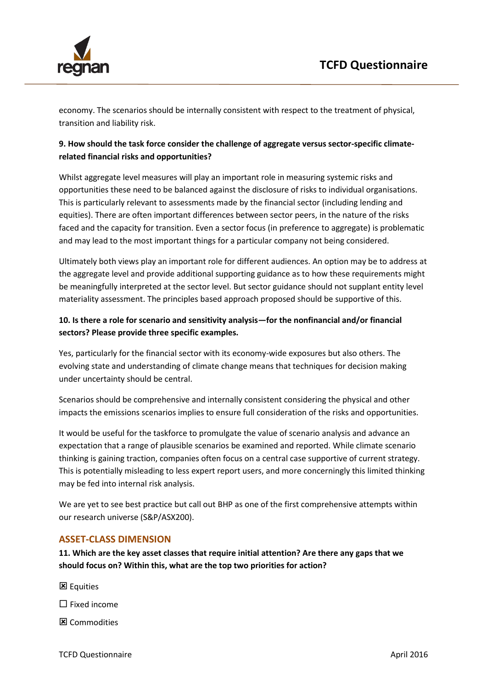

economy. The scenarios should be internally consistent with respect to the treatment of physical, transition and liability risk.

## **9. How should the task force consider the challenge of aggregate versus sector-specific climaterelated financial risks and opportunities?**

Whilst aggregate level measures will play an important role in measuring systemic risks and opportunities these need to be balanced against the disclosure of risks to individual organisations. This is particularly relevant to assessments made by the financial sector (including lending and equities). There are often important differences between sector peers, in the nature of the risks faced and the capacity for transition. Even a sector focus (in preference to aggregate) is problematic and may lead to the most important things for a particular company not being considered.

Ultimately both views play an important role for different audiences. An option may be to address at the aggregate level and provide additional supporting guidance as to how these requirements might be meaningfully interpreted at the sector level. But sector guidance should not supplant entity level materiality assessment. The principles based approach proposed should be supportive of this.

## **10. Is there a role for scenario and sensitivity analysis—for the nonfinancial and/or financial sectors? Please provide three specific examples.**

Yes, particularly for the financial sector with its economy-wide exposures but also others. The evolving state and understanding of climate change means that techniques for decision making under uncertainty should be central.

Scenarios should be comprehensive and internally consistent considering the physical and other impacts the emissions scenarios implies to ensure full consideration of the risks and opportunities.

It would be useful for the taskforce to promulgate the value of scenario analysis and advance an expectation that a range of plausible scenarios be examined and reported. While climate scenario thinking is gaining traction, companies often focus on a central case supportive of current strategy. This is potentially misleading to less expert report users, and more concerningly this limited thinking may be fed into internal risk analysis.

We are yet to see best practice but call out BHP as one of the first comprehensive attempts within our research universe (S&P/ASX200).

## **ASSET-CLASS DIMENSION**

**11. Which are the key asset classes that require initial attention? Are there any gaps that we should focus on? Within this, what are the top two priorities for action?**

区 Equities

 $\square$  Fixed income

区 Commodities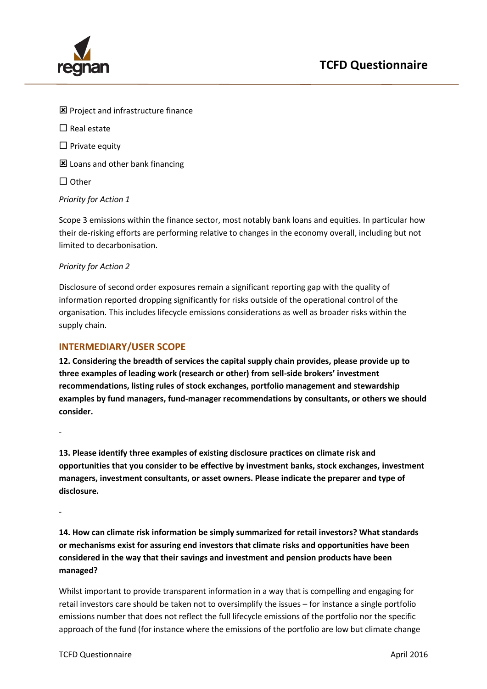

- **E** Project and infrastructure finance
- $\square$  Real estate
- $\square$  Private equity
- **区** Loans and other bank financing
- $\Box$  Other

#### *Priority for Action 1*

Scope 3 emissions within the finance sector, most notably bank loans and equities. In particular how their de-risking efforts are performing relative to changes in the economy overall, including but not limited to decarbonisation.

#### *Priority for Action 2*

Disclosure of second order exposures remain a significant reporting gap with the quality of information reported dropping significantly for risks outside of the operational control of the organisation. This includes lifecycle emissions considerations as well as broader risks within the supply chain.

### **INTERMEDIARY/USER SCOPE**

**12. Considering the breadth of services the capital supply chain provides, please provide up to three examples of leading work (research or other) from sell-side brokers' investment recommendations, listing rules of stock exchanges, portfolio management and stewardship examples by fund managers, fund-manager recommendations by consultants, or others we should consider.**

-

**13. Please identify three examples of existing disclosure practices on climate risk and opportunities that you consider to be effective by investment banks, stock exchanges, investment managers, investment consultants, or asset owners. Please indicate the preparer and type of disclosure.**

-

**14. How can climate risk information be simply summarized for retail investors? What standards or mechanisms exist for assuring end investors that climate risks and opportunities have been considered in the way that their savings and investment and pension products have been managed?** 

Whilst important to provide transparent information in a way that is compelling and engaging for retail investors care should be taken not to oversimplify the issues – for instance a single portfolio emissions number that does not reflect the full lifecycle emissions of the portfolio nor the specific approach of the fund (for instance where the emissions of the portfolio are low but climate change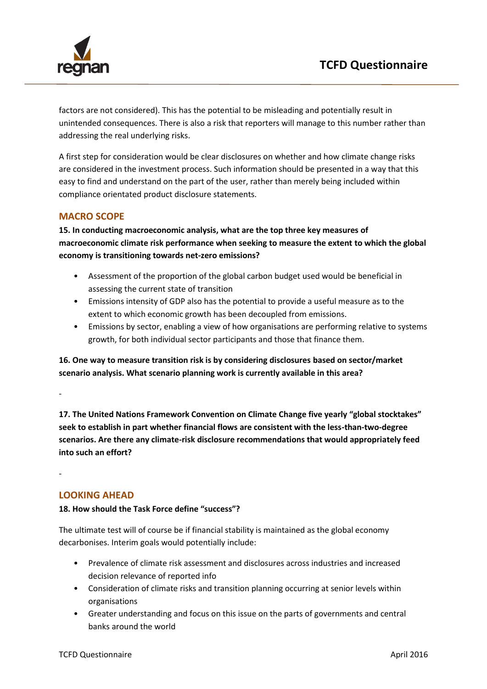

factors are not considered). This has the potential to be misleading and potentially result in unintended consequences. There is also a risk that reporters will manage to this number rather than addressing the real underlying risks.

A first step for consideration would be clear disclosures on whether and how climate change risks are considered in the investment process. Such information should be presented in a way that this easy to find and understand on the part of the user, rather than merely being included within compliance orientated product disclosure statements.

### **MACRO SCOPE**

**15. In conducting macroeconomic analysis, what are the top three key measures of macroeconomic climate risk performance when seeking to measure the extent to which the global economy is transitioning towards net-zero emissions?**

- Assessment of the proportion of the global carbon budget used would be beneficial in assessing the current state of transition
- Emissions intensity of GDP also has the potential to provide a useful measure as to the extent to which economic growth has been decoupled from emissions.
- Emissions by sector, enabling a view of how organisations are performing relative to systems growth, for both individual sector participants and those that finance them.

**16. One way to measure transition risk is by considering disclosures based on sector/market scenario analysis. What scenario planning work is currently available in this area?**

**17. The United Nations Framework Convention on Climate Change five yearly "global stocktakes" seek to establish in part whether financial flows are consistent with the less-than-two-degree scenarios. Are there any climate-risk disclosure recommendations that would appropriately feed into such an effort?** 

### **LOOKING AHEAD**

-

-

#### **18. How should the Task Force define "success"?**

The ultimate test will of course be if financial stability is maintained as the global economy decarbonises. Interim goals would potentially include:

- Prevalence of climate risk assessment and disclosures across industries and increased decision relevance of reported info
- Consideration of climate risks and transition planning occurring at senior levels within organisations
- Greater understanding and focus on this issue on the parts of governments and central banks around the world